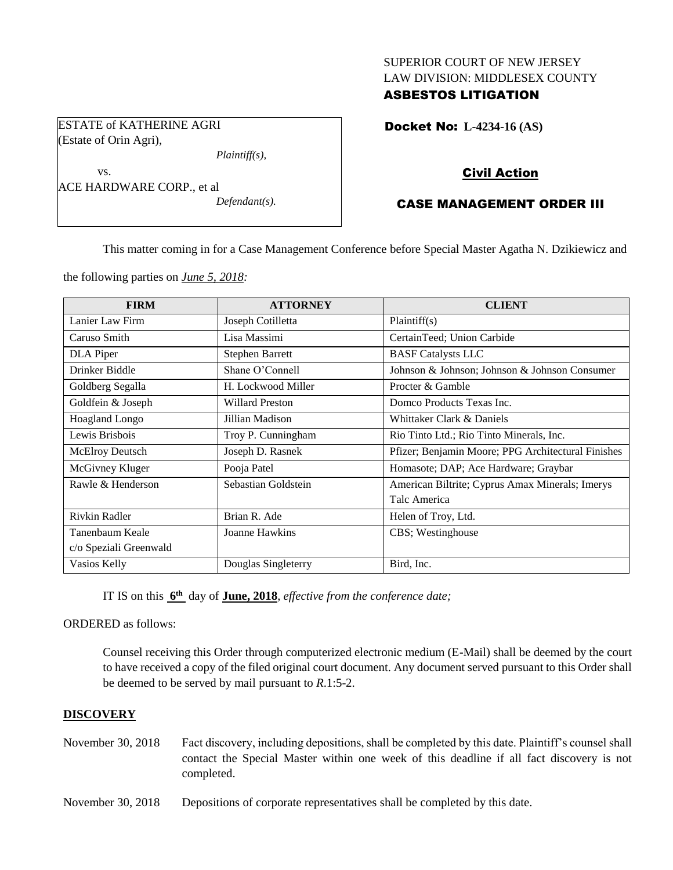## SUPERIOR COURT OF NEW JERSEY LAW DIVISION: MIDDLESEX COUNTY

## ASBESTOS LITIGATION

ESTATE of KATHERINE AGRI (Estate of Orin Agri),

*Plaintiff(s),*

vs. ACE HARDWARE CORP., et al *Defendant(s).* Docket No: **L-4234-16 (AS)** 

## Civil Action

## CASE MANAGEMENT ORDER III

This matter coming in for a Case Management Conference before Special Master Agatha N. Dzikiewicz and

the following parties on *June 5, 2018:*

| <b>FIRM</b>            | <b>ATTORNEY</b>        | <b>CLIENT</b>                                      |
|------------------------|------------------------|----------------------------------------------------|
| Lanier Law Firm        | Joseph Cotilletta      | Plaintiff(s)                                       |
| Caruso Smith           | Lisa Massimi           | CertainTeed; Union Carbide                         |
| DLA Piper              | Stephen Barrett        | <b>BASF</b> Catalysts LLC                          |
| Drinker Biddle         | Shane O'Connell        | Johnson & Johnson; Johnson & Johnson Consumer      |
| Goldberg Segalla       | H. Lockwood Miller     | Procter & Gamble                                   |
| Goldfein & Joseph      | <b>Willard Preston</b> | Domco Products Texas Inc.                          |
| Hoagland Longo         | Jillian Madison        | Whittaker Clark & Daniels                          |
| Lewis Brisbois         | Troy P. Cunningham     | Rio Tinto Ltd.; Rio Tinto Minerals, Inc.           |
| <b>McElroy Deutsch</b> | Joseph D. Rasnek       | Pfizer; Benjamin Moore; PPG Architectural Finishes |
| McGivney Kluger        | Pooja Patel            | Homasote; DAP; Ace Hardware; Graybar               |
| Rawle & Henderson      | Sebastian Goldstein    | American Biltrite; Cyprus Amax Minerals; Imerys    |
|                        |                        | Talc America                                       |
| Rivkin Radler          | Brian R. Ade           | Helen of Troy, Ltd.                                |
| Tanenbaum Keale        | Joanne Hawkins         | CBS; Westinghouse                                  |
| c/o Speziali Greenwald |                        |                                                    |
| Vasios Kelly           | Douglas Singleterry    | Bird, Inc.                                         |

IT IS on this  $6^{\text{th}}$  day of **June, 2018**, *effective from the conference date*;

ORDERED as follows:

Counsel receiving this Order through computerized electronic medium (E-Mail) shall be deemed by the court to have received a copy of the filed original court document. Any document served pursuant to this Order shall be deemed to be served by mail pursuant to *R*.1:5-2.

#### **DISCOVERY**

- November 30, 2018 Fact discovery, including depositions, shall be completed by this date. Plaintiff's counsel shall contact the Special Master within one week of this deadline if all fact discovery is not completed.
- November 30, 2018 Depositions of corporate representatives shall be completed by this date.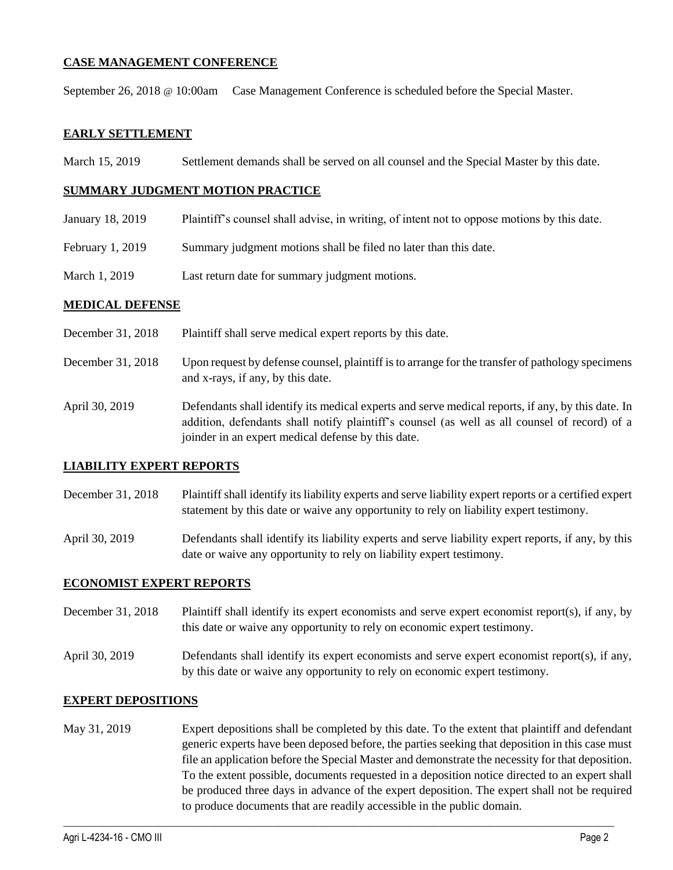## **CASE MANAGEMENT CONFERENCE**

September 26, 2018 @ 10:00am Case Management Conference is scheduled before the Special Master.

#### **EARLY SETTLEMENT**

March 15, 2019 Settlement demands shall be served on all counsel and the Special Master by this date.

#### **SUMMARY JUDGMENT MOTION PRACTICE**

- January 18, 2019 Plaintiff's counsel shall advise, in writing, of intent not to oppose motions by this date.
- February 1, 2019 Summary judgment motions shall be filed no later than this date.
- March 1, 2019 Last return date for summary judgment motions.

#### **MEDICAL DEFENSE**

- December 31, 2018 Plaintiff shall serve medical expert reports by this date.
- December 31, 2018 Upon request by defense counsel, plaintiff is to arrange for the transfer of pathology specimens and x-rays, if any, by this date.
- April 30, 2019 Defendants shall identify its medical experts and serve medical reports, if any, by this date. In addition, defendants shall notify plaintiff's counsel (as well as all counsel of record) of a joinder in an expert medical defense by this date.

#### **LIABILITY EXPERT REPORTS**

- December 31, 2018 Plaintiff shall identify its liability experts and serve liability expert reports or a certified expert statement by this date or waive any opportunity to rely on liability expert testimony.
- April 30, 2019 Defendants shall identify its liability experts and serve liability expert reports, if any, by this date or waive any opportunity to rely on liability expert testimony.

#### **ECONOMIST EXPERT REPORTS**

- December 31, 2018 Plaintiff shall identify its expert economists and serve expert economist report(s), if any, by this date or waive any opportunity to rely on economic expert testimony.
- April 30, 2019 Defendants shall identify its expert economists and serve expert economist report(s), if any, by this date or waive any opportunity to rely on economic expert testimony.

#### **EXPERT DEPOSITIONS**

May 31, 2019 Expert depositions shall be completed by this date. To the extent that plaintiff and defendant generic experts have been deposed before, the parties seeking that deposition in this case must file an application before the Special Master and demonstrate the necessity for that deposition. To the extent possible, documents requested in a deposition notice directed to an expert shall be produced three days in advance of the expert deposition. The expert shall not be required to produce documents that are readily accessible in the public domain.

 $\_$  ,  $\_$  ,  $\_$  ,  $\_$  ,  $\_$  ,  $\_$  ,  $\_$  ,  $\_$  ,  $\_$  ,  $\_$  ,  $\_$  ,  $\_$  ,  $\_$  ,  $\_$  ,  $\_$  ,  $\_$  ,  $\_$  ,  $\_$  ,  $\_$  ,  $\_$  ,  $\_$  ,  $\_$  ,  $\_$  ,  $\_$  ,  $\_$  ,  $\_$  ,  $\_$  ,  $\_$  ,  $\_$  ,  $\_$  ,  $\_$  ,  $\_$  ,  $\_$  ,  $\_$  ,  $\_$  ,  $\_$  ,  $\_$  ,